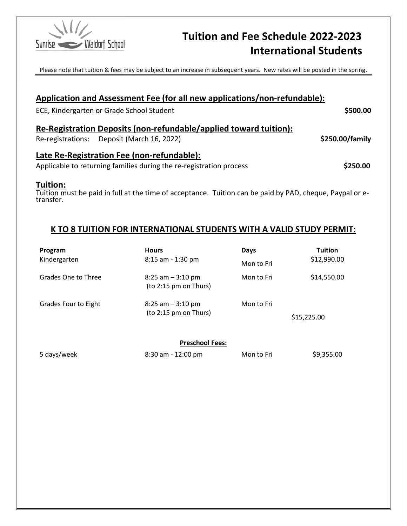

# Sunrise Waldorf School **Tuition and Fee Schedule 2022-2023** International Students

Please note that tuition & fees may be subject to an increase in subsequent years. New rates will be posted in the spring.

|           | Application and Assessment Fee (for all new applications/non-refundable):                                |                 |
|-----------|----------------------------------------------------------------------------------------------------------|-----------------|
|           | ECE, Kindergarten or Grade School Student                                                                | \$500.00        |
|           | Re-Registration Deposits (non-refundable/applied toward tuition):                                        |                 |
|           | Re-registrations: Deposit (March 16, 2022)                                                               | \$250.00/family |
|           | Late Re-Registration Fee (non-refundable):                                                               |                 |
|           | Applicable to returning families during the re-registration process                                      | \$250.00        |
| Tuition:  |                                                                                                          |                 |
| transfer. | Tuition must be paid in full at the time of acceptance. Tuition can be paid by PAD, cheque, Paypal or e- |                 |

### K TO 8 TUITION FOR INTERNATIONAL STUDENTS WITH A VALID STUDY PERMIT:

| Program<br>Kindergarten | <b>Hours</b><br>8:15 am - 1:30 pm             | Days<br>Mon to Fri | <b>Tuition</b><br>\$12,990.00 |
|-------------------------|-----------------------------------------------|--------------------|-------------------------------|
| Grades One to Three     | $8:25$ am $-3:10$ pm<br>(to 2:15 pm on Thus)  | Mon to Fri         | \$14,550.00                   |
| Grades Four to Eight    | $8:25$ am $-3:10$ pm<br>(to 2:15 pm on Thurs) | Mon to Fri         | \$15,225.00                   |
|                         | <b>Preschool Fees:</b>                        |                    |                               |
| 5 days/week             | $8:30$ am - 12:00 pm                          | Mon to Fri         | \$9,355.00                    |